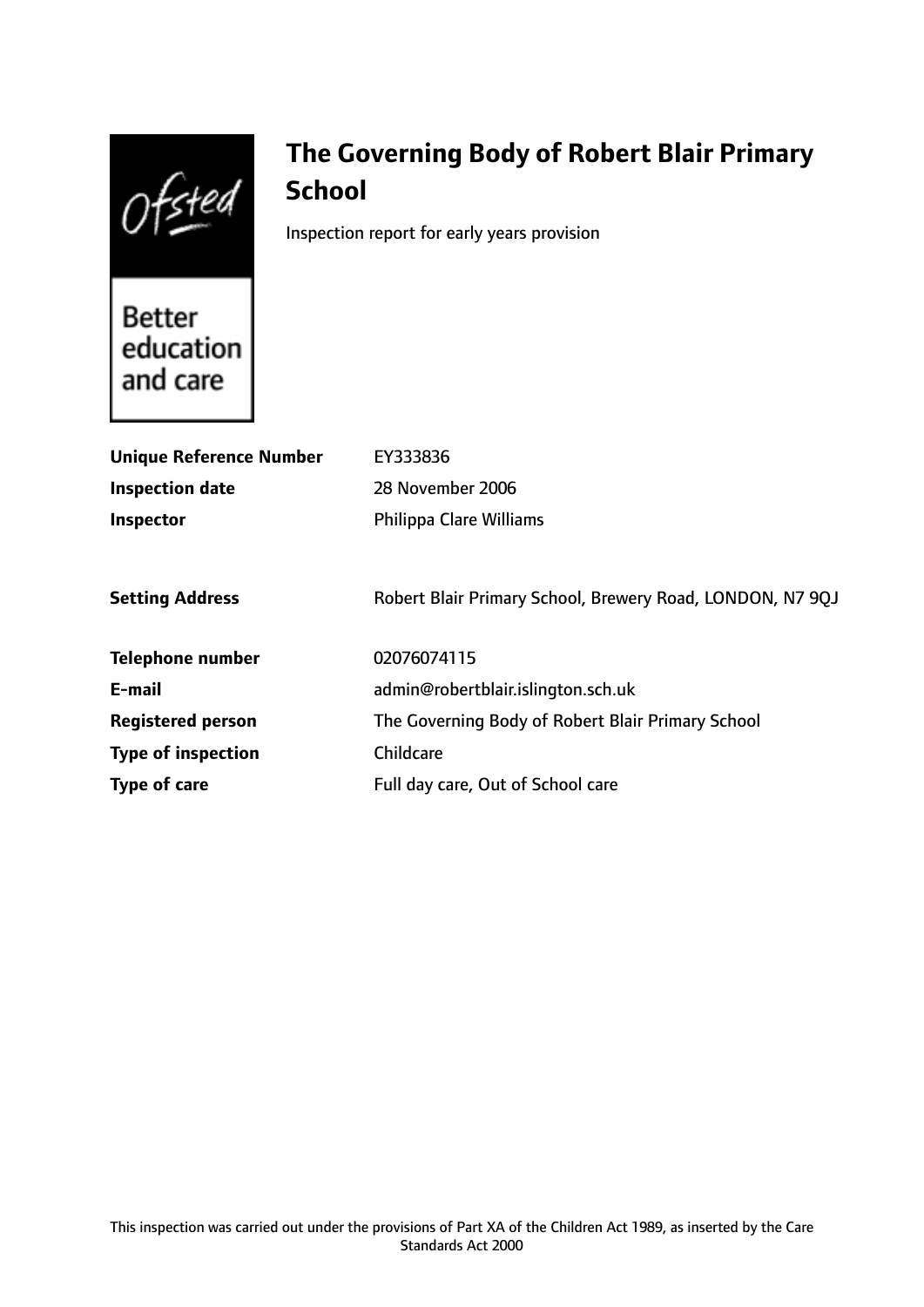Ofsted

# **The Governing Body of Robert Blair Primary School**

Inspection report for early years provision

Better education and care

| <b>Unique Reference Number</b> | EY333836                                                  |
|--------------------------------|-----------------------------------------------------------|
| <b>Inspection date</b>         | 28 November 2006                                          |
| Inspector                      | <b>Philippa Clare Williams</b>                            |
|                                |                                                           |
| <b>Setting Address</b>         | Robert Blair Primary School, Brewery Road, LONDON, N7 9QJ |
| <b>Telephone number</b>        | 02076074115                                               |
| E-mail                         | admin@robertblair.islington.sch.uk                        |
| <b>Registered person</b>       | The Governing Body of Robert Blair Primary School         |
| <b>Type of inspection</b>      | Childcare                                                 |
| Type of care                   | Full day care, Out of School care                         |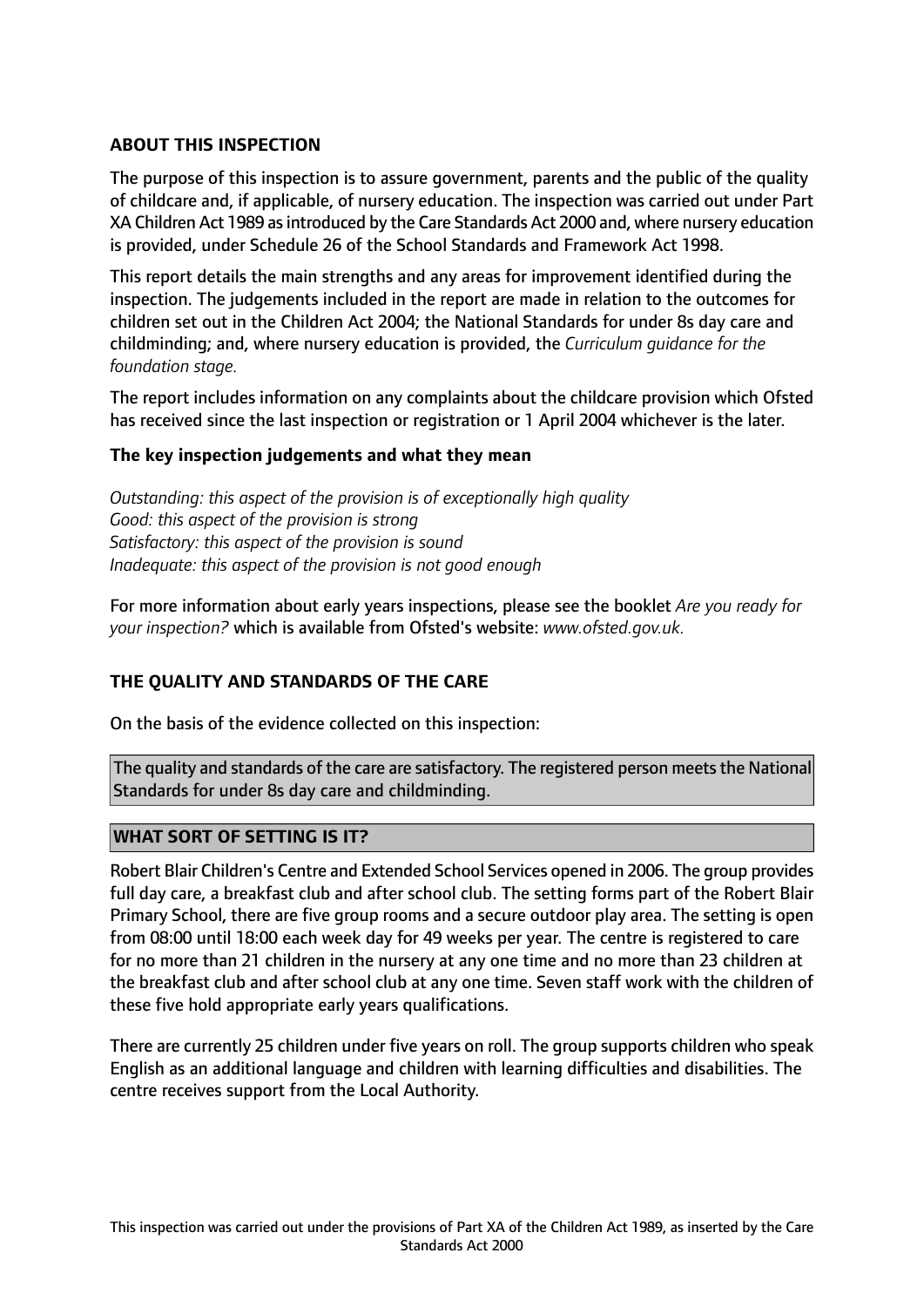## **ABOUT THIS INSPECTION**

The purpose of this inspection is to assure government, parents and the public of the quality of childcare and, if applicable, of nursery education. The inspection was carried out under Part XA Children Act 1989 asintroduced by the Care Standards Act 2000 and, where nursery education is provided, under Schedule 26 of the School Standards and Framework Act 1998.

This report details the main strengths and any areas for improvement identified during the inspection. The judgements included in the report are made in relation to the outcomes for children set out in the Children Act 2004; the National Standards for under 8s day care and childminding; and, where nursery education is provided, the *Curriculum guidance for the foundation stage.*

The report includes information on any complaints about the childcare provision which Ofsted has received since the last inspection or registration or 1 April 2004 whichever is the later.

## **The key inspection judgements and what they mean**

*Outstanding: this aspect of the provision is of exceptionally high quality Good: this aspect of the provision is strong Satisfactory: this aspect of the provision is sound Inadequate: this aspect of the provision is not good enough*

For more information about early years inspections, please see the booklet *Are you ready for your inspection?* which is available from Ofsted's website: *www.ofsted.gov.uk.*

## **THE QUALITY AND STANDARDS OF THE CARE**

On the basis of the evidence collected on this inspection:

The quality and standards of the care are satisfactory. The registered person meets the National Standards for under 8s day care and childminding.

## **WHAT SORT OF SETTING IS IT?**

Robert Blair Children's Centre and Extended School Services opened in 2006. The group provides full day care, a breakfast club and after school club. The setting forms part of the Robert Blair Primary School, there are five group rooms and a secure outdoor play area. The setting is open from 08:00 until 18:00 each week day for 49 weeks per year. The centre is registered to care for no more than 21 children in the nursery at any one time and no more than 23 children at the breakfast club and after school club at any one time. Seven staff work with the children of these five hold appropriate early years qualifications.

There are currently 25 children under five years on roll. The group supports children who speak English as an additional language and children with learning difficulties and disabilities. The centre receives support from the Local Authority.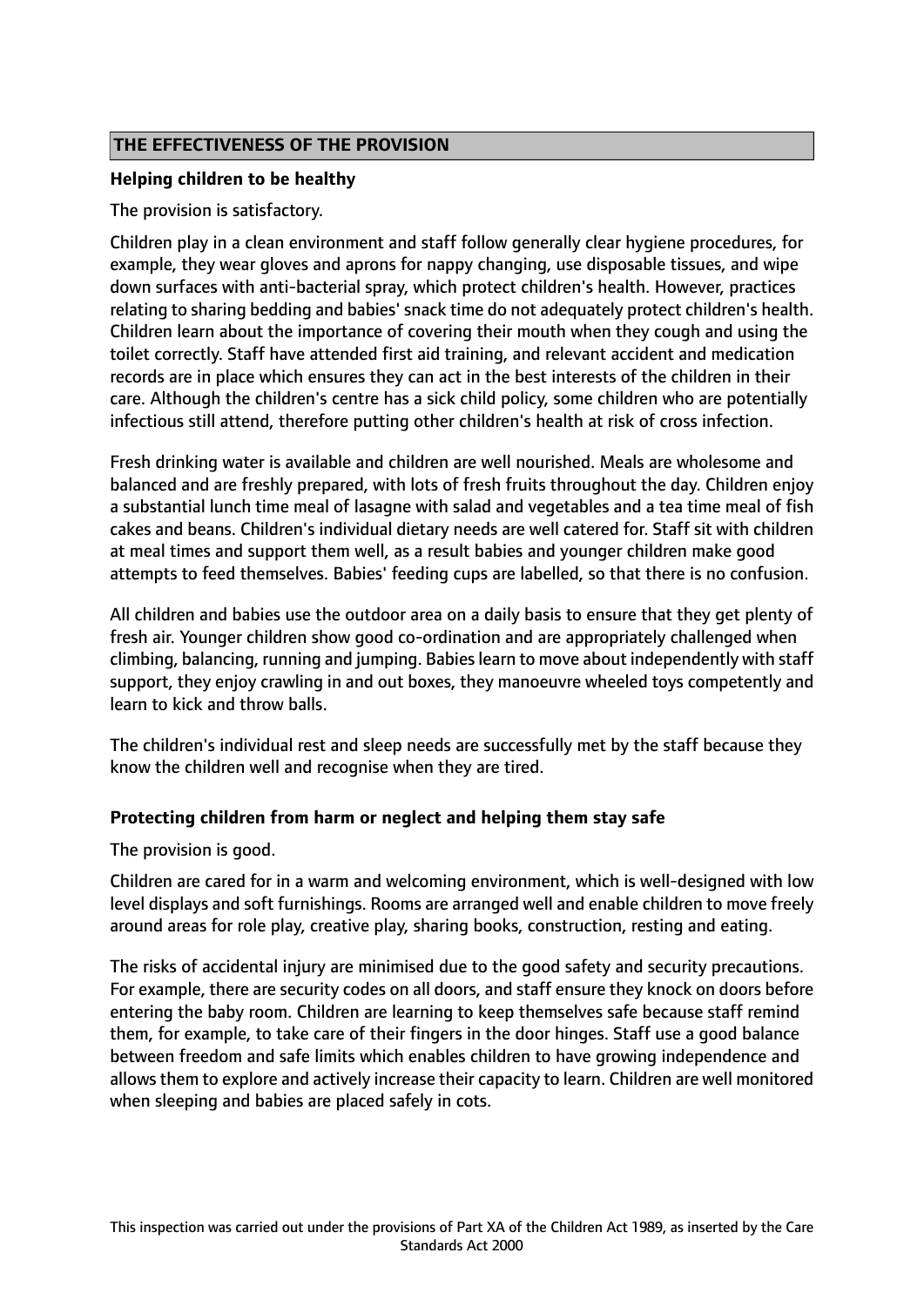## **THE EFFECTIVENESS OF THE PROVISION**

## **Helping children to be healthy**

The provision is satisfactory.

Children play in a clean environment and staff follow generally clear hygiene procedures, for example, they wear gloves and aprons for nappy changing, use disposable tissues, and wipe down surfaces with anti-bacterial spray, which protect children's health. However, practices relating to sharing bedding and babies' snack time do not adequately protect children's health. Children learn about the importance of covering their mouth when they cough and using the toilet correctly. Staff have attended first aid training, and relevant accident and medication records are in place which ensures they can act in the best interests of the children in their care. Although the children's centre has a sick child policy, some children who are potentially infectious still attend, therefore putting other children's health at risk of cross infection.

Fresh drinking water is available and children are well nourished. Meals are wholesome and balanced and are freshly prepared, with lots of fresh fruits throughout the day. Children enjoy a substantial lunch time meal of lasagne with salad and vegetables and a tea time meal of fish cakes and beans. Children's individual dietary needs are well catered for. Staff sit with children at meal times and support them well, as a result babies and younger children make good attempts to feed themselves. Babies' feeding cups are labelled, so that there is no confusion.

All children and babies use the outdoor area on a daily basis to ensure that they get plenty of fresh air. Younger children show good co-ordination and are appropriately challenged when climbing, balancing, running and jumping. Babieslearn to move about independently with staff support, they enjoy crawling in and out boxes, they manoeuvre wheeled toys competently and learn to kick and throw balls.

The children's individual rest and sleep needs are successfully met by the staff because they know the children well and recognise when they are tired.

## **Protecting children from harm or neglect and helping them stay safe**

The provision is good.

Children are cared for in a warm and welcoming environment, which is well-designed with low level displays and soft furnishings. Rooms are arranged well and enable children to move freely around areas for role play, creative play, sharing books, construction, resting and eating.

The risks of accidental injury are minimised due to the good safety and security precautions. For example, there are security codes on all doors, and staff ensure they knock on doors before entering the baby room. Children are learning to keep themselves safe because staff remind them, for example, to take care of their fingers in the door hinges. Staff use a good balance between freedom and safe limits which enables children to have growing independence and allows them to explore and actively increase their capacity to learn. Children are well monitored when sleeping and babies are placed safely in cots.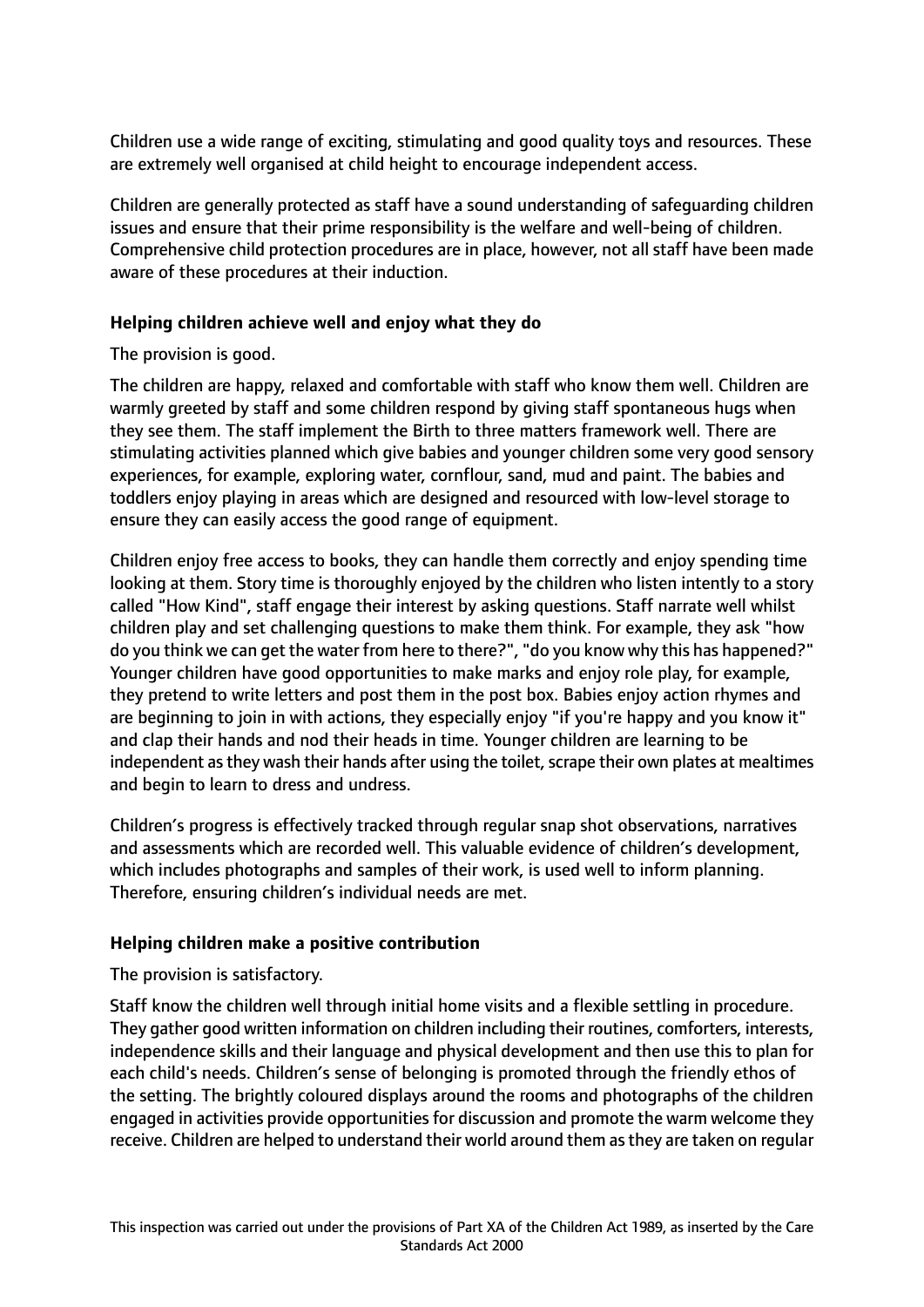Children use a wide range of exciting, stimulating and good quality toys and resources. These are extremely well organised at child height to encourage independent access.

Children are generally protected as staff have a sound understanding of safeguarding children issues and ensure that their prime responsibility is the welfare and well-being of children. Comprehensive child protection procedures are in place, however, not all staff have been made aware of these procedures at their induction.

## **Helping children achieve well and enjoy what they do**

## The provision is good.

The children are happy, relaxed and comfortable with staff who know them well. Children are warmly greeted by staff and some children respond by giving staff spontaneous hugs when they see them. The staff implement the Birth to three matters framework well. There are stimulating activities planned which give babies and younger children some very good sensory experiences, for example, exploring water, cornflour, sand, mud and paint. The babies and toddlers enjoy playing in areas which are designed and resourced with low-level storage to ensure they can easily access the good range of equipment.

Children enjoy free access to books, they can handle them correctly and enjoy spending time looking at them. Story time is thoroughly enjoyed by the children who listen intently to a story called "How Kind", staff engage their interest by asking questions. Staff narrate well whilst children play and set challenging questions to make them think. For example, they ask "how do you think we can get the water from here to there?", "do you know why this has happened?" Younger children have good opportunities to make marks and enjoy role play, for example, they pretend to write letters and post them in the post box. Babies enjoy action rhymes and are beginning to join in with actions, they especially enjoy "if you're happy and you know it" and clap their hands and nod their heads in time. Younger children are learning to be independent as they wash their hands after using the toilet, scrape their own plates at mealtimes and begin to learn to dress and undress.

Children's progress is effectively tracked through regular snap shot observations, narratives and assessments which are recorded well. This valuable evidence of children's development, which includes photographs and samples of their work, is used well to inform planning. Therefore, ensuring children's individual needs are met.

## **Helping children make a positive contribution**

## The provision is satisfactory.

Staff know the children well through initial home visits and a flexible settling in procedure. They gather good written information on children including their routines, comforters, interests, independence skills and their language and physical development and then use this to plan for each child's needs. Children's sense of belonging is promoted through the friendly ethos of the setting. The brightly coloured displays around the rooms and photographs of the children engaged in activities provide opportunities for discussion and promote the warm welcome they receive. Children are helped to understand their world around them as they are taken on regular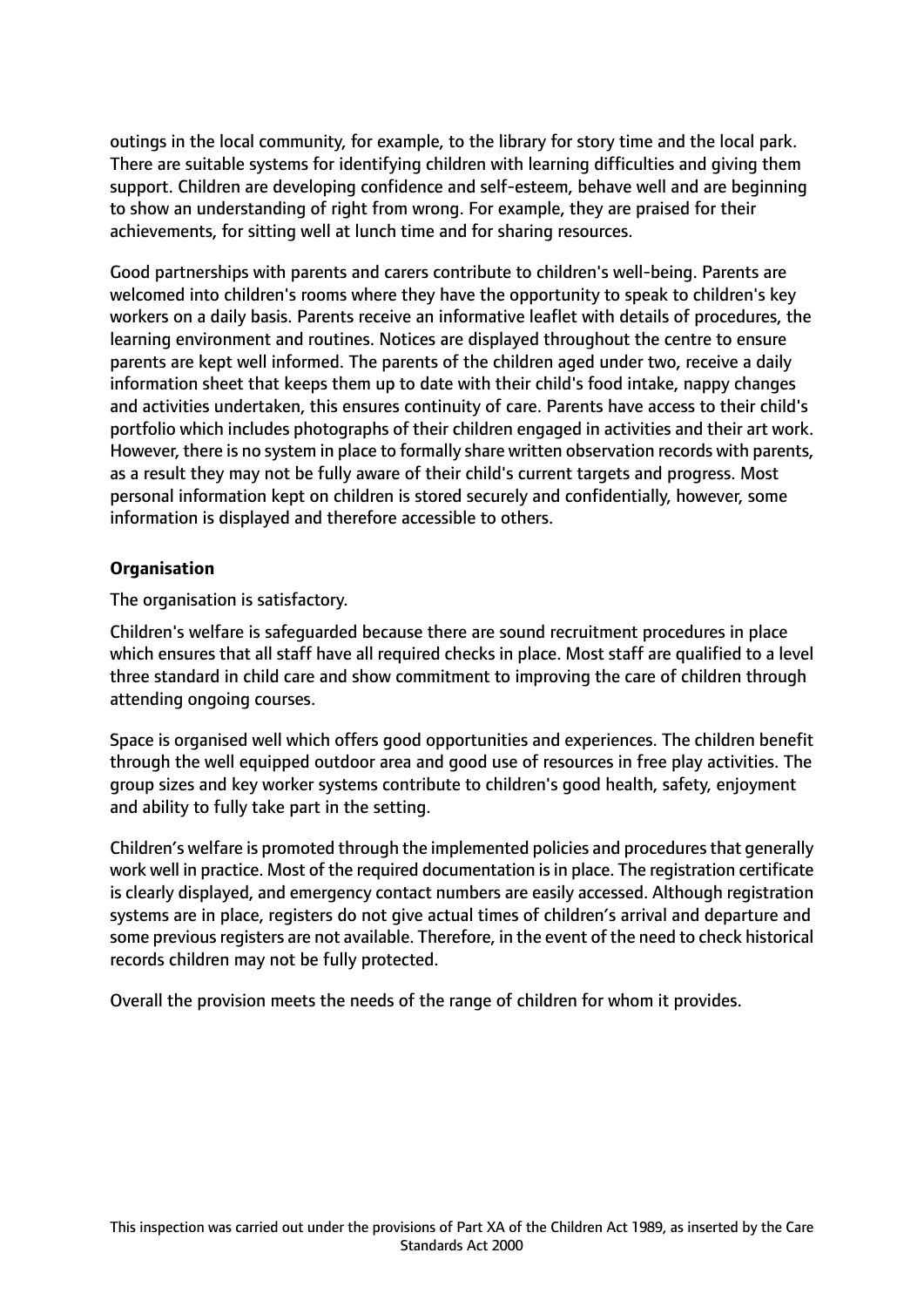outings in the local community, for example, to the library for story time and the local park. There are suitable systems for identifying children with learning difficulties and giving them support. Children are developing confidence and self-esteem, behave well and are beginning to show an understanding of right from wrong. For example, they are praised for their achievements, for sitting well at lunch time and for sharing resources.

Good partnerships with parents and carers contribute to children's well-being. Parents are welcomed into children's rooms where they have the opportunity to speak to children's key workers on a daily basis. Parents receive an informative leaflet with details of procedures, the learning environment and routines. Notices are displayed throughout the centre to ensure parents are kept well informed. The parents of the children aged under two, receive a daily information sheet that keeps them up to date with their child's food intake, nappy changes and activities undertaken, this ensures continuity of care. Parents have access to their child's portfolio which includes photographs of their children engaged in activities and their art work. However, there is no system in place to formally share written observation records with parents, as a result they may not be fully aware of their child's current targets and progress. Most personal information kept on children is stored securely and confidentially, however, some information is displayed and therefore accessible to others.

## **Organisation**

The organisation is satisfactory.

Children's welfare is safeguarded because there are sound recruitment procedures in place which ensures that all staff have all required checks in place. Most staff are qualified to a level three standard in child care and show commitment to improving the care of children through attending ongoing courses.

Space is organised well which offers good opportunities and experiences. The children benefit through the well equipped outdoor area and good use of resources in free play activities. The group sizes and key worker systems contribute to children's good health, safety, enjoyment and ability to fully take part in the setting.

Children's welfare is promoted through the implemented policies and procedures that generally work well in practice. Most of the required documentation is in place. The registration certificate is clearly displayed, and emergency contact numbers are easily accessed. Although registration systems are in place, registers do not give actual times of children's arrival and departure and some previous registers are not available. Therefore, in the event of the need to check historical records children may not be fully protected.

Overall the provision meets the needs of the range of children for whom it provides.